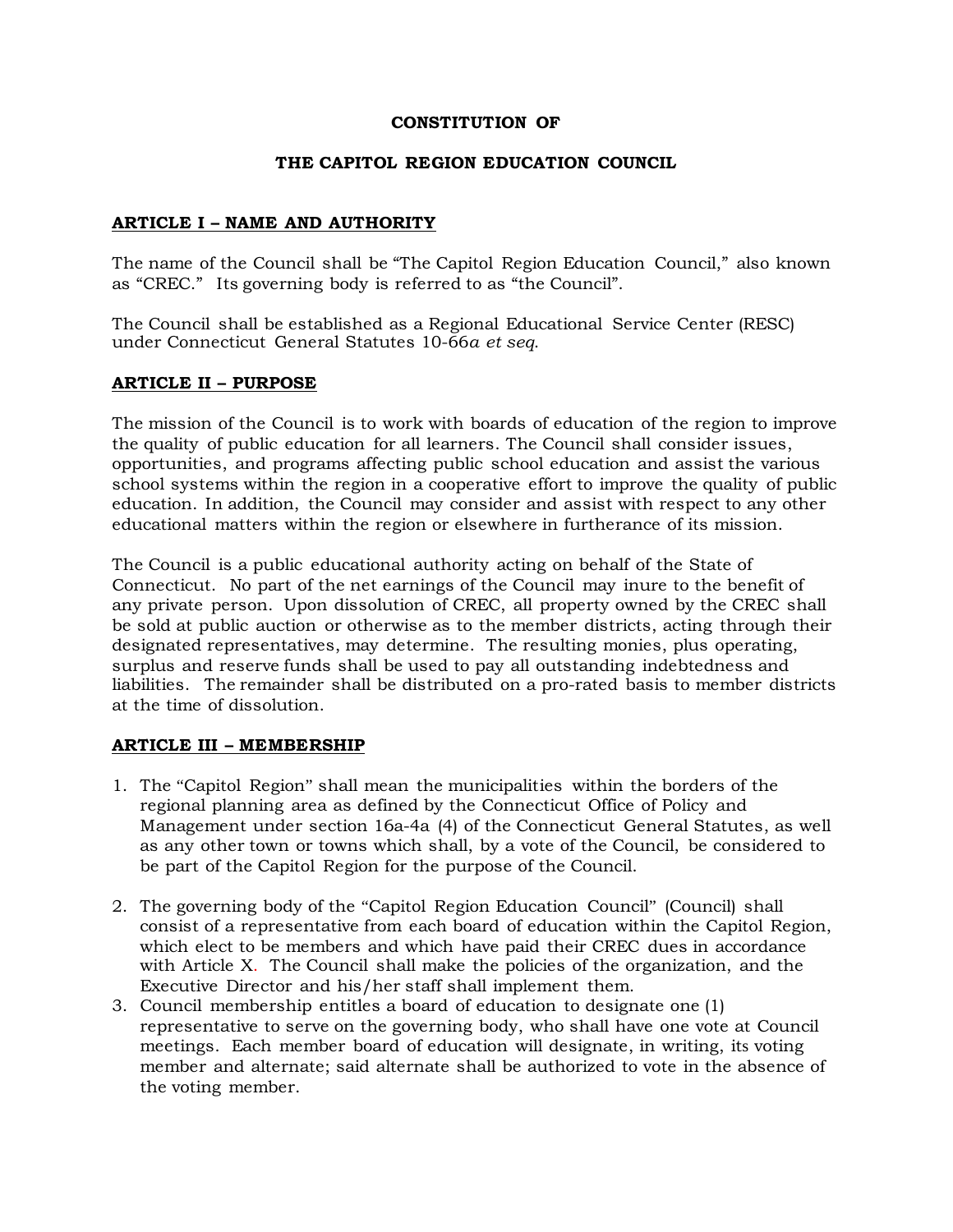## **CONSTITUTION OF**

### **THE CAPITOL REGION EDUCATION COUNCIL**

### **ARTICLE I – NAME AND AUTHORITY**

The name of the Council shall be "The Capitol Region Education Council," also known as "CREC." Its governing body is referred to as "the Council".

The Council shall be established as a Regional Educational Service Center (RESC) under Connecticut General Statutes 10-66*a et seq*.

### **ARTICLE II – PURPOSE**

The mission of the Council is to work with boards of education of the region to improve the quality of public education for all learners. The Council shall consider issues, opportunities, and programs affecting public school education and assist the various school systems within the region in a cooperative effort to improve the quality of public education. In addition, the Council may consider and assist with respect to any other educational matters within the region or elsewhere in furtherance of its mission.

The Council is a public educational authority acting on behalf of the State of Connecticut. No part of the net earnings of the Council may inure to the benefit of any private person. Upon dissolution of CREC, all property owned by the CREC shall be sold at public auction or otherwise as to the member districts, acting through their designated representatives, may determine. The resulting monies, plus operating, surplus and reserve funds shall be used to pay all outstanding indebtedness and liabilities. The remainder shall be distributed on a pro-rated basis to member districts at the time of dissolution.

### **ARTICLE III – MEMBERSHIP**

- 1. The "Capitol Region" shall mean the municipalities within the borders of the regional planning area as defined by the Connecticut Office of Policy and Management under section 16a-4a (4) of the Connecticut General Statutes, as well as any other town or towns which shall, by a vote of the Council, be considered to be part of the Capitol Region for the purpose of the Council.
- 2. The governing body of the "Capitol Region Education Council" (Council) shall consist of a representative from each board of education within the Capitol Region, which elect to be members and which have paid their CREC dues in accordance with Article X. The Council shall make the policies of the organization, and the Executive Director and his/her staff shall implement them.
- 3. Council membership entitles a board of education to designate one (1) representative to serve on the governing body, who shall have one vote at Council meetings. Each member board of education will designate, in writing, its voting member and alternate; said alternate shall be authorized to vote in the absence of the voting member.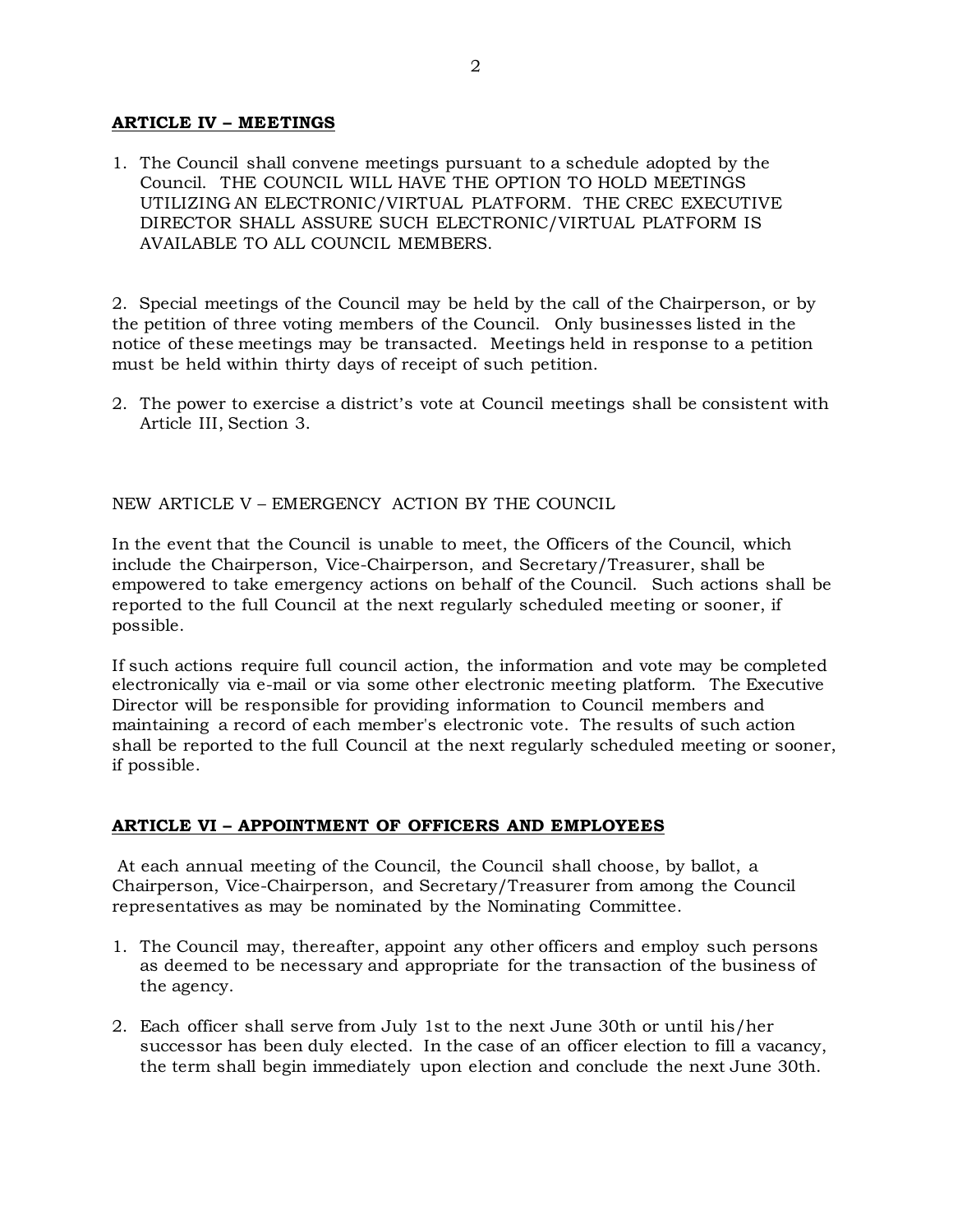### **ARTICLE IV – MEETINGS**

1. The Council shall convene meetings pursuant to a schedule adopted by the Council. THE COUNCIL WILL HAVE THE OPTION TO HOLD MEETINGS UTILIZING AN ELECTRONIC/VIRTUAL PLATFORM. THE CREC EXECUTIVE DIRECTOR SHALL ASSURE SUCH ELECTRONIC/VIRTUAL PLATFORM IS AVAILABLE TO ALL COUNCIL MEMBERS.

2. Special meetings of the Council may be held by the call of the Chairperson, or by the petition of three voting members of the Council. Only businesses listed in the notice of these meetings may be transacted. Meetings held in response to a petition must be held within thirty days of receipt of such petition.

2. The power to exercise a district's vote at Council meetings shall be consistent with Article III, Section 3.

### NEW ARTICLE V – EMERGENCY ACTION BY THE COUNCIL

In the event that the Council is unable to meet, the Officers of the Council, which include the Chairperson, Vice-Chairperson, and Secretary/Treasurer, shall be empowered to take emergency actions on behalf of the Council. Such actions shall be reported to the full Council at the next regularly scheduled meeting or sooner, if possible.

If such actions require full council action, the information and vote may be completed electronically via e-mail or via some other electronic meeting platform. The Executive Director will be responsible for providing information to Council members and maintaining a record of each member's electronic vote. The results of such action shall be reported to the full Council at the next regularly scheduled meeting or sooner, if possible.

#### **ARTICLE VI – APPOINTMENT OF OFFICERS AND EMPLOYEES**

At each annual meeting of the Council, the Council shall choose, by ballot, a Chairperson, Vice-Chairperson, and Secretary/Treasurer from among the Council representatives as may be nominated by the Nominating Committee.

- 1. The Council may, thereafter, appoint any other officers and employ such persons as deemed to be necessary and appropriate for the transaction of the business of the agency.
- 2. Each officer shall serve from July 1st to the next June 30th or until his/her successor has been duly elected. In the case of an officer election to fill a vacancy, the term shall begin immediately upon election and conclude the next June 30th.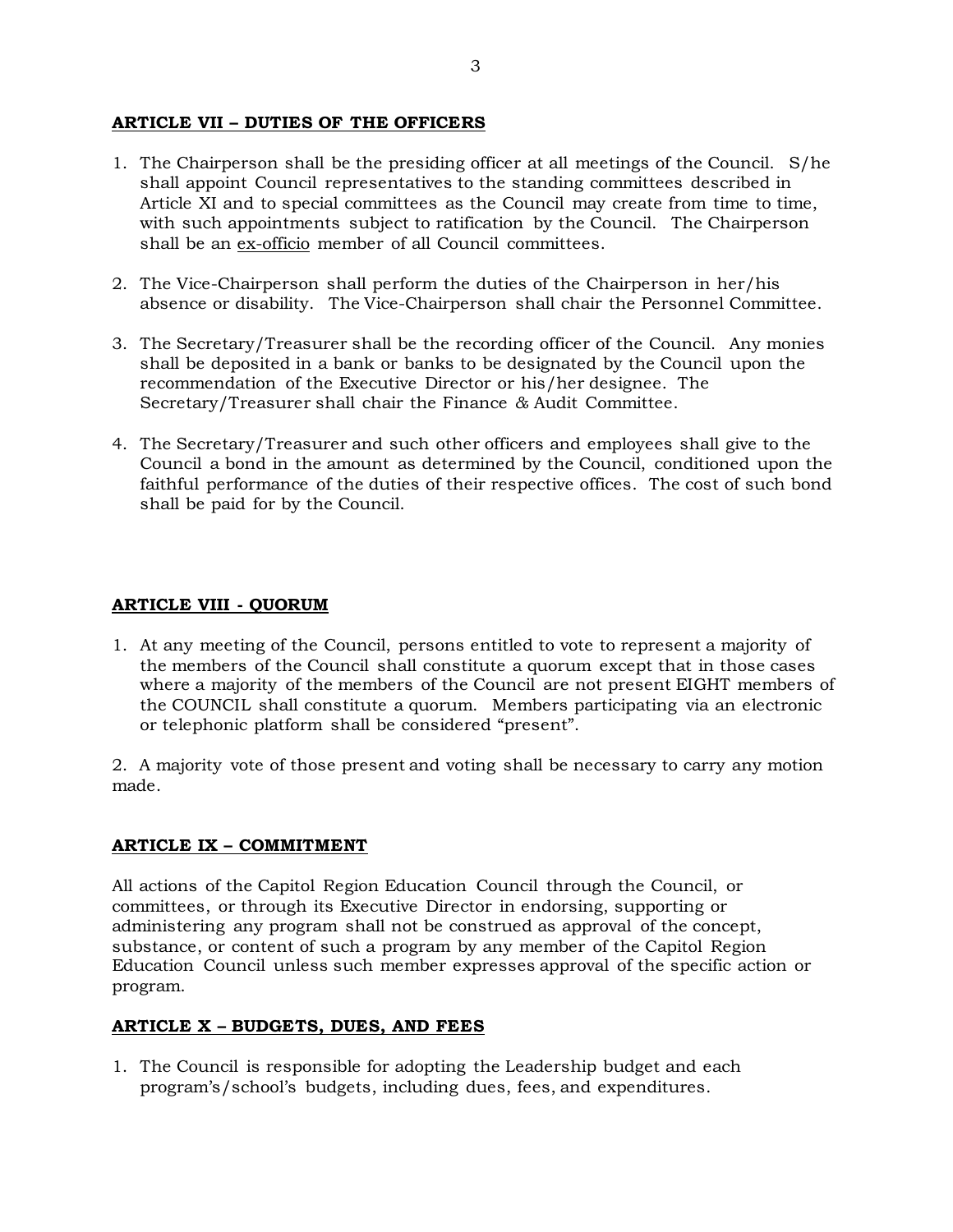## **ARTICLE VII – DUTIES OF THE OFFICERS**

- 1. The Chairperson shall be the presiding officer at all meetings of the Council. S/he shall appoint Council representatives to the standing committees described in Article XI and to special committees as the Council may create from time to time, with such appointments subject to ratification by the Council. The Chairperson shall be an ex-officio member of all Council committees.
- 2. The Vice-Chairperson shall perform the duties of the Chairperson in her/his absence or disability. The Vice-Chairperson shall chair the Personnel Committee.
- 3. The Secretary/Treasurer shall be the recording officer of the Council. Any monies shall be deposited in a bank or banks to be designated by the Council upon the recommendation of the Executive Director or his/her designee. The Secretary/Treasurer shall chair the Finance *&* Audit Committee.
- 4. The Secretary/Treasurer and such other officers and employees shall give to the Council a bond in the amount as determined by the Council, conditioned upon the faithful performance of the duties of their respective offices. The cost of such bond shall be paid for by the Council.

# **ARTICLE VIII - QUORUM**

1. At any meeting of the Council, persons entitled to vote to represent a majority of the members of the Council shall constitute a quorum except that in those cases where a majority of the members of the Council are not present EIGHT members of the COUNCIL shall constitute a quorum. Members participating via an electronic or telephonic platform shall be considered "present".

2. A majority vote of those present and voting shall be necessary to carry any motion made.

### **ARTICLE IX – COMMITMENT**

All actions of the Capitol Region Education Council through the Council, or committees, or through its Executive Director in endorsing, supporting or administering any program shall not be construed as approval of the concept, substance, or content of such a program by any member of the Capitol Region Education Council unless such member expresses approval of the specific action or program.

### **ARTICLE X – BUDGETS, DUES, AND FEES**

1. The Council is responsible for adopting the Leadership budget and each program's/school's budgets, including dues, fees, and expenditures.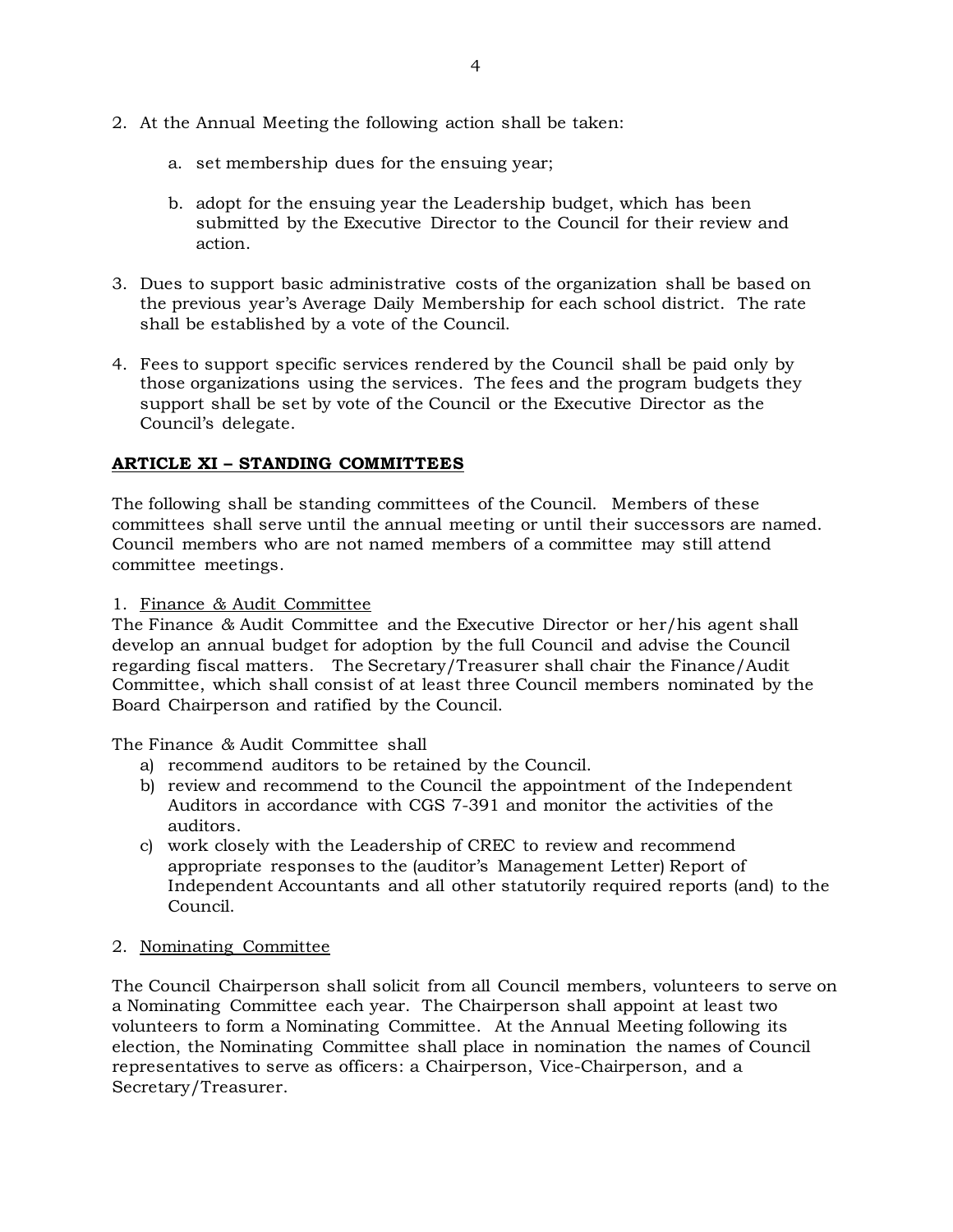- 2. At the Annual Meeting the following action shall be taken:
	- a. set membership dues for the ensuing year;
	- b. adopt for the ensuing year the Leadership budget, which has been submitted by the Executive Director to the Council for their review and action.
- 3. Dues to support basic administrative costs of the organization shall be based on the previous year's Average Daily Membership for each school district. The rate shall be established by a vote of the Council.
- 4. Fees to support specific services rendered by the Council shall be paid only by those organizations using the services. The fees and the program budgets they support shall be set by vote of the Council or the Executive Director as the Council's delegate.

# **ARTICLE XI – STANDING COMMITTEES**

The following shall be standing committees of the Council. Members of these committees shall serve until the annual meeting or until their successors are named. Council members who are not named members of a committee may still attend committee meetings.

1. Finance *&* Audit Committee

The Finance *&* Audit Committee and the Executive Director or her/his agent shall develop an annual budget for adoption by the full Council and advise the Council regarding fiscal matters. The Secretary/Treasurer shall chair the Finance/Audit Committee, which shall consist of at least three Council members nominated by the Board Chairperson and ratified by the Council.

The Finance *&* Audit Committee shall

- a) recommend auditors to be retained by the Council.
- b) review and recommend to the Council the appointment of the Independent Auditors in accordance with CGS 7-391 and monitor the activities of the auditors.
- c) work closely with the Leadership of CREC to review and recommend appropriate responses to the (auditor's Management Letter) Report of Independent Accountants and all other statutorily required reports (and) to the Council.
- 2. Nominating Committee

The Council Chairperson shall solicit from all Council members, volunteers to serve on a Nominating Committee each year. The Chairperson shall appoint at least two volunteers to form a Nominating Committee. At the Annual Meeting following its election, the Nominating Committee shall place in nomination the names of Council representatives to serve as officers: a Chairperson, Vice-Chairperson, and a Secretary/Treasurer.